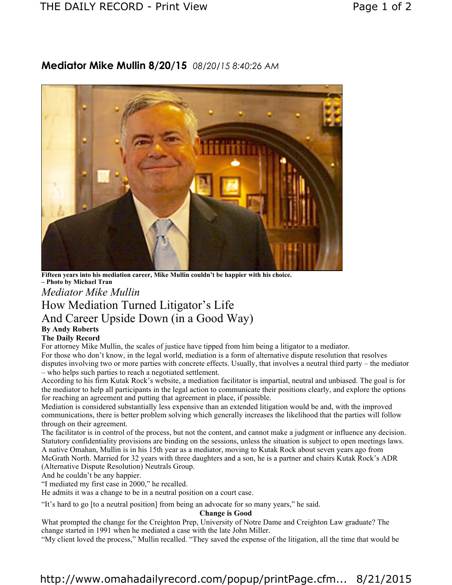## THE DAILY RECORD - Print View THE DAILY RECORD - Print View

# **Mediator Mike Mullin 8/20/15** *08/20/15 8:40:26 AM*



**Fifteen years into his mediation career, Mike Mullin couldn't be happier with his choice. – Photo by Michael Tran**

*Mediator Mike Mullin*

# How Mediation Turned Litigator's Life And Career Upside Down (in a Good Way)

# **By Andy Roberts**

## **The Daily Record**

For attorney Mike Mullin, the scales of justice have tipped from him being a litigator to a mediator.

For those who don't know, in the legal world, mediation is a form of alternative dispute resolution that resolves disputes involving two or more parties with concrete effects. Usually, that involves a neutral third party – the mediator – who helps such parties to reach a negotiated settlement.

According to his firm Kutak Rock's website, a mediation facilitator is impartial, neutral and unbiased. The goal is for the mediator to help all participants in the legal action to communicate their positions clearly, and explore the options for reaching an agreement and putting that agreement in place, if possible.

Mediation is considered substantially less expensive than an extended litigation would be and, with the improved communications, there is better problem solving which generally increases the likelihood that the parties will follow through on their agreement.

The facilitator is in control of the process, but not the content, and cannot make a judgment or influence any decision. Statutory confidentiality provisions are binding on the sessions, unless the situation is subject to open meetings laws. A native Omahan, Mullin is in his 15th year as a mediator, moving to Kutak Rock about seven years ago from McGrath North. Married for 32 years with three daughters and a son, he is a partner and chairs Kutak Rock's ADR

(Alternative Dispute Resolution) Neutrals Group. And he couldn't be any happier.

"I mediated my first case in 2000," he recalled.

He admits it was a change to be in a neutral position on a court case.

"It's hard to go [to a neutral position] from being an advocate for so many years," he said.

## **Change is Good**

What prompted the change for the Creighton Prep, University of Notre Dame and Creighton Law graduate? The change started in 1991 when he mediated a case with the late John Miller.

"My client loved the process," Mullin recalled. "They saved the expense of the litigation, all the time that would be